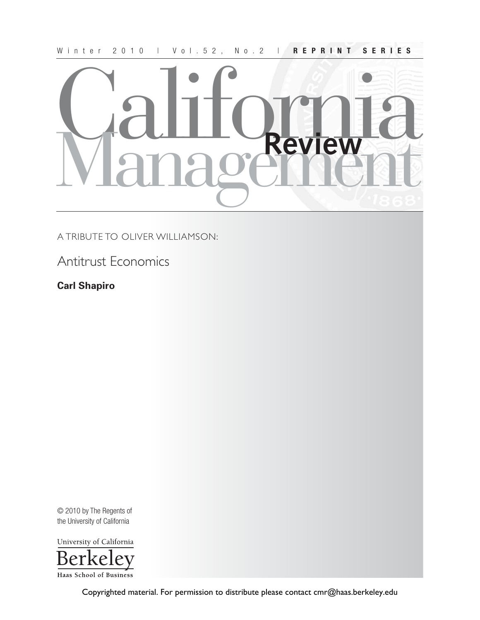



A TRIBUTE TO OLIVER WILLIAMSON:

Antitrust Economics

**Carl Shapiro**

© 2010 by The Regents of the University of California

University of California Ď Haas School of Business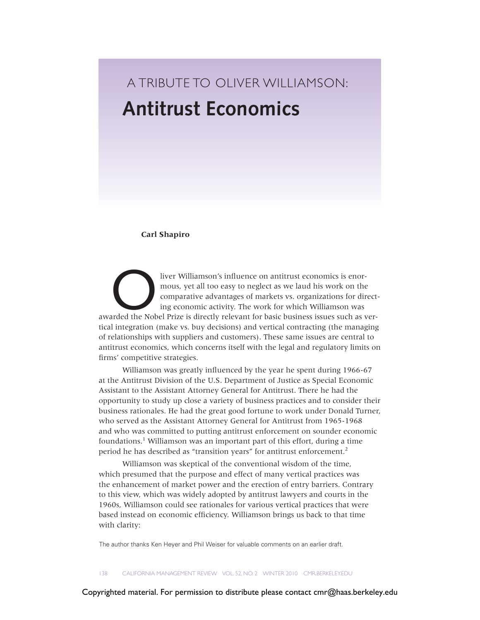# A TRIBUTE TO OLIVER WILLIAMSON: **Antitrust Economics**

## **Carl Shapiro**

I liver Williamson's influence on antitrust economics is enor-<br>
mous, yet all too easy to neglect as we laud his work on the<br>
comparative advantages of markets vs. organizations for direct<br>
ing economic activity. The work mous, yet all too easy to neglect as we laud his work on the comparative advantages of markets vs. organizations for directing economic activity. The work for which Williamson was tical integration (make vs. buy decisions) and vertical contracting (the managing of relationships with suppliers and customers). These same issues are central to antitrust economics, which concerns itself with the legal and regulatory limits on firms' competitive strategies.

Williamson was greatly influenced by the year he spent during 1966-67 at the Antitrust Division of the U.S. Department of Justice as Special Economic Assistant to the Assistant Attorney General for Antitrust. There he had the opportunity to study up close a variety of business practices and to consider their business rationales. He had the great good fortune to work under Donald Turner, who served as the Assistant Attorney General for Antitrust from 1965-1968 and who was committed to putting antitrust enforcement on sounder economic foundations.<sup>1</sup> Williamson was an important part of this effort, during a time period he has described as "transition years" for antitrust enforcement.<sup>2</sup>

Williamson was skeptical of the conventional wisdom of the time, which presumed that the purpose and effect of many vertical practices was the enhancement of market power and the erection of entry barriers. Contrary to this view, which was widely adopted by antitrust lawyers and courts in the 1960s, Williamson could see rationales for various vertical practices that were based instead on economic efficiency. Williamson brings us back to that time with clarity:

The author thanks Ken Heyer and Phil Weiser for valuable comments on an earlier draft.

#### 138 CALIFORNIA MANAGEMENT REVIEW VOL. 52, NO. 2 WINTER 2010 CMR.BERKELEY.EDU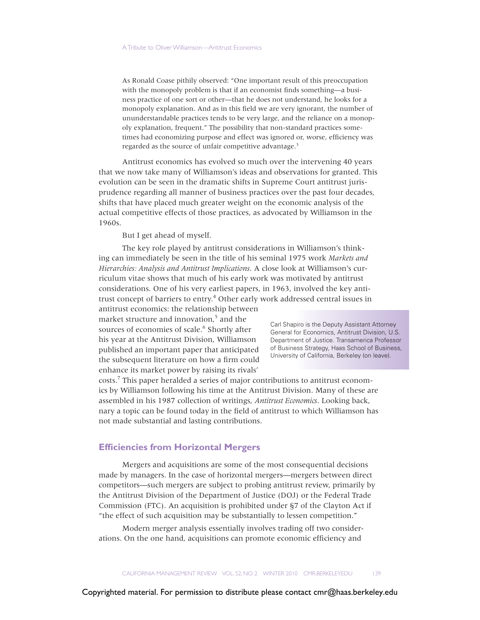As Ronald Coase pithily observed: "One important result of this preoccupation with the monopoly problem is that if an economist finds something—a business practice of one sort or other—that he does not understand, he looks for a monopoly explanation. And as in this field we are very ignorant, the number of ununderstandable practices tends to be very large, and the reliance on a monopoly explanation, frequent." The possibility that non-standard practices sometimes had economizing purpose and effect was ignored or, worse, efficiency was regarded as the source of unfair competitive advantage.<sup>3</sup>

Antitrust economics has evolved so much over the intervening 40 years that we now take many of Williamson's ideas and observations for granted. This evolution can be seen in the dramatic shifts in Supreme Court antitrust jurisprudence regarding all manner of business practices over the past four decades, shifts that have placed much greater weight on the economic analysis of the actual competitive effects of those practices, as advocated by Williamson in the 1960s.

But I get ahead of myself.

The key role played by antitrust considerations in Williamson's thinking can immediately be seen in the title of his seminal 1975 work *Markets and Hierarchies: Analysis and Antitrust Implications*. A close look at Williamson's curriculum vitae shows that much of his early work was motivated by antitrust considerations. One of his very earliest papers, in 1963, involved the key antitrust concept of barriers to entry.<sup>4</sup> Other early work addressed central issues in antitrust economics: the relationship between

market structure and innovation,<sup>5</sup> and the sources of economies of scale.<sup>6</sup> Shortly after his year at the Antitrust Division, Williamson published an important paper that anticipated the subsequent literature on how a firm could enhance its market power by raising its rivals'

Carl Shapiro is the Deputy Assistant Attorney General for Economics, Antitrust Division, U.S. Department of Justice. Transamerica Professor of Business Strategy, Haas School of Business, University of California, Berkeley (on leave).

costs.<sup>7</sup> This paper heralded a series of major contributions to antitrust economics by Williamson following his time at the Antitrust Division. Many of these are assembled in his 1987 collection of writings, *Antitrust Economics*. Looking back, nary a topic can be found today in the field of antitrust to which Williamson has not made substantial and lasting contributions.

# **Efficiencies from Horizontal Mergers**

Mergers and acquisitions are some of the most consequential decisions made by managers. In the case of horizontal mergers—mergers between direct competitors—such mergers are subject to probing antitrust review, primarily by the Antitrust Division of the Department of Justice (DOJ) or the Federal Trade Commission (FTC). An acquisition is prohibited under §7 of the Clayton Act if "the effect of such acquisition may be substantially to lessen competition."

Modern merger analysis essentially involves trading off two considerations. On the one hand, acquisitions can promote economic efficiency and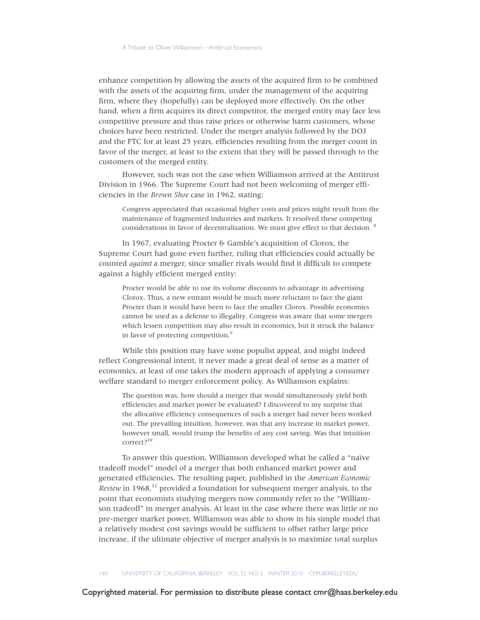enhance competition by allowing the assets of the acquired firm to be combined with the assets of the acquiring firm, under the management of the acquiring firm, where they (hopefully) can be deployed more effectively. On the other hand, when a firm acquires its direct competitor, the merged entity may face less competitive pressure and thus raise prices or otherwise harm customers, whose choices have been restricted. Under the merger analysis followed by the DOJ and the FTC for at least 25 years, efficiencies resulting from the merger count in favor of the merger, at least to the extent that they will be passed through to the customers of the merged entity.

However, such was not the case when Williamson arrived at the Antitrust Division in 1966. The Supreme Court had not been welcoming of merger efficiencies in the *Brown Shoe* case in 1962, stating:

Congress appreciated that occasional higher costs and prices might result from the maintenance of fragmented industries and markets. It resolved these competing considerations in favor of decentralization. We must give effect to that decision. 8

In 1967, evaluating Procter & Gamble's acquisition of Clorox, the Supreme Court had gone even further, ruling that efficiencies could actually be counted *against* a merger, since smaller rivals would find it difficult to compete against a highly efficient merged entity:

Procter would be able to use its volume discounts to advantage in advertising Clorox. Thus, a new entrant would be much more reluctant to face the giant Procter than it would have been to face the smaller Clorox. Possible economics cannot be used as a defense to illegality. Congress was aware that some mergers which lessen competition may also result in economics, but it struck the balance in favor of protecting competition.<sup>9</sup>

While this position may have some populist appeal, and might indeed reflect Congressional intent, it never made a great deal of sense as a matter of economics, at least of one takes the modern approach of applying a consumer welfare standard to merger enforcement policy. As Williamson explains:

The question was, how should a merger that would simultaneously yield both efficiencies and market power be evaluated? I discovered to my surprise that the allocative efficiency consequences of such a merger had never been worked out. The prevailing intuition, however, was that any increase in market power, however small, would trump the benefits of any cost saving. Was that intuition correct?10

To answer this question, Williamson developed what he called a "naïve tradeoff model" model of a merger that both enhanced market power and generated efficiencies. The resulting paper, published in the *American Economic Review* in 1968,<sup>11</sup> provided a foundation for subsequent merger analysis, to the point that economists studying mergers now commonly refer to the "Williamson tradeoff" in merger analysis. At least in the case where there was little or no pre-merger market power, Williamson was able to show in his simple model that a relatively modest cost savings would be sufficient to offset rather large price increase, if the ultimate objective of merger analysis is to maximize total surplus

140 UNIVERSITY OF CALIFORNIA, BERKELEY VOL. 52, NO. 2 WINTER 2010 CMR.BERKELEY.EDU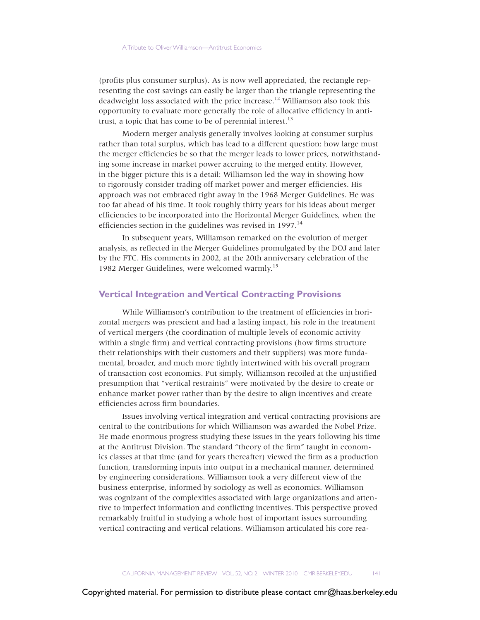(profits plus consumer surplus). As is now well appreciated, the rectangle representing the cost savings can easily be larger than the triangle representing the deadweight loss associated with the price increase.<sup>12</sup> Williamson also took this opportunity to evaluate more generally the role of allocative efficiency in antitrust, a topic that has come to be of perennial interest.<sup>13</sup>

Modern merger analysis generally involves looking at consumer surplus rather than total surplus, which has lead to a different question: how large must the merger efficiencies be so that the merger leads to lower prices, notwithstanding some increase in market power accruing to the merged entity. However, in the bigger picture this is a detail: Williamson led the way in showing how to rigorously consider trading off market power and merger efficiencies. His approach was not embraced right away in the 1968 Merger Guidelines. He was too far ahead of his time. It took roughly thirty years for his ideas about merger efficiencies to be incorporated into the Horizontal Merger Guidelines, when the efficiencies section in the guidelines was revised in  $1997$ .<sup>14</sup>

In subsequent years, Williamson remarked on the evolution of merger analysis, as reflected in the Merger Guidelines promulgated by the DOJ and later by the FTC. His comments in 2002, at the 20th anniversary celebration of the 1982 Merger Guidelines, were welcomed warmly.15

## **Vertical Integration and Vertical Contracting Provisions**

While Williamson's contribution to the treatment of efficiencies in horizontal mergers was prescient and had a lasting impact, his role in the treatment of vertical mergers (the coordination of multiple levels of economic activity within a single firm) and vertical contracting provisions (how firms structure their relationships with their customers and their suppliers) was more fundamental, broader, and much more tightly intertwined with his overall program of transaction cost economics. Put simply, Williamson recoiled at the unjustified presumption that "vertical restraints" were motivated by the desire to create or enhance market power rather than by the desire to align incentives and create efficiencies across firm boundaries.

Issues involving vertical integration and vertical contracting provisions are central to the contributions for which Williamson was awarded the Nobel Prize. He made enormous progress studying these issues in the years following his time at the Antitrust Division. The standard "theory of the firm" taught in economics classes at that time (and for years thereafter) viewed the firm as a production function, transforming inputs into output in a mechanical manner, determined by engineering considerations. Williamson took a very different view of the business enterprise, informed by sociology as well as economics. Williamson was cognizant of the complexities associated with large organizations and attentive to imperfect information and conflicting incentives. This perspective proved remarkably fruitful in studying a whole host of important issues surrounding vertical contracting and vertical relations. Williamson articulated his core rea-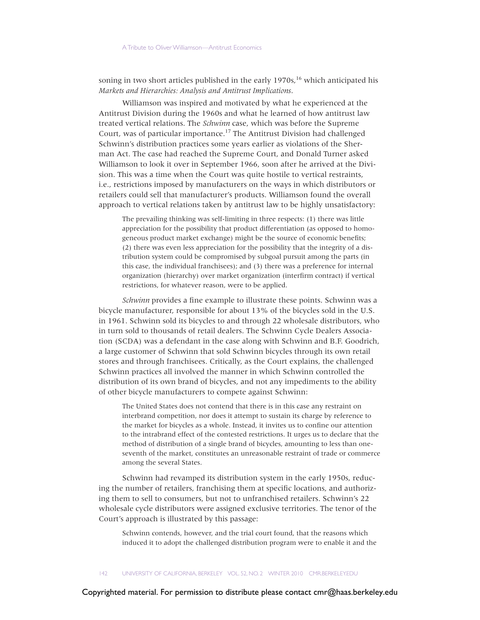soning in two short articles published in the early 1970s,  $^{16}$  which anticipated his *Markets and Hierarchies: Analysis and Antitrust Implications*.

Williamson was inspired and motivated by what he experienced at the Antitrust Division during the 1960s and what he learned of how antitrust law treated vertical relations. The *Schwinn* case, which was before the Supreme Court, was of particular importance.<sup>17</sup> The Antitrust Division had challenged Schwinn's distribution practices some years earlier as violations of the Sherman Act. The case had reached the Supreme Court, and Donald Turner asked Williamson to look it over in September 1966, soon after he arrived at the Division. This was a time when the Court was quite hostile to vertical restraints, i.e., restrictions imposed by manufacturers on the ways in which distributors or retailers could sell that manufacturer's products. Williamson found the overall approach to vertical relations taken by antitrust law to be highly unsatisfactory:

The prevailing thinking was self-limiting in three respects: (1) there was little appreciation for the possibility that product differentiation (as opposed to homogeneous product market exchange) might be the source of economic benefits; (2) there was even less appreciation for the possibility that the integrity of a distribution system could be compromised by subgoal pursuit among the parts (in this case, the individual franchisees); and (3) there was a preference for internal organization (hierarchy) over market organization (interfirm contract) if vertical restrictions, for whatever reason, were to be applied.

*Schwinn* provides a fine example to illustrate these points. Schwinn was a bicycle manufacturer, responsible for about 13% of the bicycles sold in the U.S. in 1961. Schwinn sold its bicycles to and through 22 wholesale distributors, who in turn sold to thousands of retail dealers. The Schwinn Cycle Dealers Association (SCDA) was a defendant in the case along with Schwinn and B.F. Goodrich, a large customer of Schwinn that sold Schwinn bicycles through its own retail stores and through franchisees. Critically, as the Court explains, the challenged Schwinn practices all involved the manner in which Schwinn controlled the distribution of its own brand of bicycles, and not any impediments to the ability of other bicycle manufacturers to compete against Schwinn:

The United States does not contend that there is in this case any restraint on interbrand competition, nor does it attempt to sustain its charge by reference to the market for bicycles as a whole. Instead, it invites us to confine our attention to the intrabrand effect of the contested restrictions. It urges us to declare that the method of distribution of a single brand of bicycles, amounting to less than oneseventh of the market, constitutes an unreasonable restraint of trade or commerce among the several States.

Schwinn had revamped its distribution system in the early 1950s, reducing the number of retailers, franchising them at specific locations, and authorizing them to sell to consumers, but not to unfranchised retailers. Schwinn's 22 wholesale cycle distributors were assigned exclusive territories. The tenor of the Court's approach is illustrated by this passage:

Schwinn contends, however, and the trial court found, that the reasons which induced it to adopt the challenged distribution program were to enable it and the

#### 142 UNIVERSITY OF CALIFORNIA, BERKELEY VOL. 52, NO. 2 WINTER 2010 CMR.BERKELEY.EDU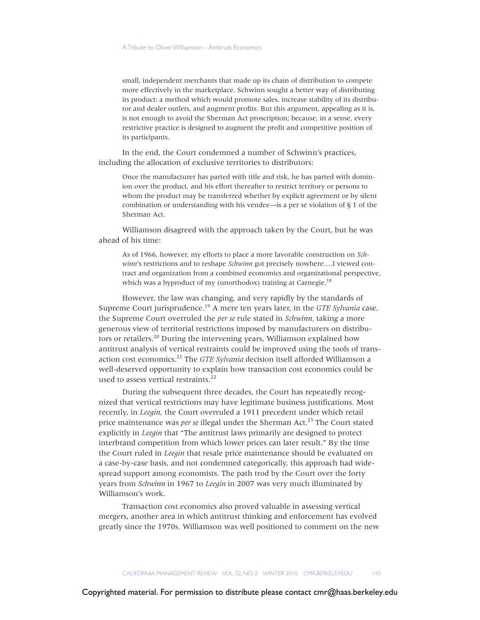small, independent merchants that made up its chain of distribution to compete more effectively in the marketplace. Schwinn sought a better way of distributing its product: a method which would promote sales, increase stability of its distributor and dealer outlets, and augment profits. But this argument, appealing as it is, is not enough to avoid the Sherman Act proscription; because, in a sense, every restrictive practice is designed to augment the profit and competitive position of its participants.

In the end, the Court condemned a number of Schwinn's practices, including the allocation of exclusive territories to distributors:

Once the manufacturer has parted with title and risk, he has parted with dominion over the product, and his effort thereafter to restrict territory or persons to whom the product may be transferred whether by explicit agreement or by silent combination or understanding with his vendee—is a per se violation of § 1 of the Sherman Act.

Williamson disagreed with the approach taken by the Court, but he was ahead of his time:

As of 1966, however, my efforts to place a more favorable construction on *Schwinn*'s restrictions and to reshape *Schwinn* got precisely nowhere.…I viewed contract and organization from a combined economics and organizational perspective, which was a byproduct of my (unorthodox) training at Carnegie.<sup>18</sup>

However, the law was changing, and very rapidly by the standards of Supreme Court jurisprudence.19 A mere ten years later, in the *GTE Sylvania* case, the Supreme Court overruled the *per se* rule stated in *Schwinn,* taking a more generous view of territorial restrictions imposed by manufacturers on distributors or retailers.20 During the intervening years, Williamson explained how antitrust analysis of vertical restraints could be improved using the tools of transaction cost economics.21 The *GTE Sylvania* decision itself afforded Williamson a well-deserved opportunity to explain how transaction cost economics could be used to assess vertical restraints.<sup>22</sup>

During the subsequent three decades, the Court has repeatedly recognized that vertical restrictions may have legitimate business justifications. Most recently, in *Leegin*, the Court overruled a 1911 precedent under which retail price maintenance was *per se* illegal under the Sherman Act.<sup>23</sup> The Court stated explicitly in *Leegin* that "The antitrust laws primarily are designed to protect interbrand competition from which lower prices can later result." By the time the Court ruled in *Leegin* that resale price maintenance should be evaluated on a case-by-case basis, and not condemned categorically, this approach had widespread support among economists. The path trod by the Court over the forty years from *Schwinn* in 1967 to *Leegin* in 2007 was very much illuminated by Williamson's work.

Transaction cost economics also proved valuable in assessing vertical mergers, another area in which antitrust thinking and enforcement has evolved greatly since the 1970s. Williamson was well positioned to comment on the new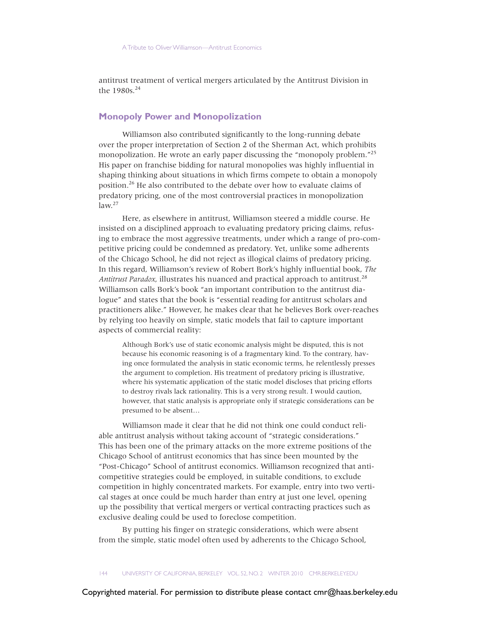antitrust treatment of vertical mergers articulated by the Antitrust Division in the 1980s.<sup>24</sup>

# **Monopoly Power and Monopolization**

Williamson also contributed significantly to the long-running debate over the proper interpretation of Section 2 of the Sherman Act, which prohibits monopolization. He wrote an early paper discussing the "monopoly problem."<sup>25</sup> His paper on franchise bidding for natural monopolies was highly influential in shaping thinking about situations in which firms compete to obtain a monopoly position.26 He also contributed to the debate over how to evaluate claims of predatory pricing, one of the most controversial practices in monopolization  $law.<sup>27</sup>$ 

Here, as elsewhere in antitrust, Williamson steered a middle course. He insisted on a disciplined approach to evaluating predatory pricing claims, refusing to embrace the most aggressive treatments, under which a range of pro-competitive pricing could be condemned as predatory. Yet, unlike some adherents of the Chicago School, he did not reject as illogical claims of predatory pricing. In this regard, Williamson's review of Robert Bork's highly influential book, *The* Antitrust Paradox, illustrates his nuanced and practical approach to antitrust.<sup>28</sup> Williamson calls Bork's book "an important contribution to the antitrust dialogue" and states that the book is "essential reading for antitrust scholars and practitioners alike." However, he makes clear that he believes Bork over-reaches by relying too heavily on simple, static models that fail to capture important aspects of commercial reality:

Although Bork's use of static economic analysis might be disputed, this is not because his economic reasoning is of a fragmentary kind. To the contrary, having once formulated the analysis in static economic terms, he relentlessly presses the argument to completion. His treatment of predatory pricing is illustrative, where his systematic application of the static model discloses that pricing efforts to destroy rivals lack rationality. This is a very strong result. I would caution, however, that static analysis is appropriate only if strategic considerations can be presumed to be absent…

Williamson made it clear that he did not think one could conduct reliable antitrust analysis without taking account of "strategic considerations." This has been one of the primary attacks on the more extreme positions of the Chicago School of antitrust economics that has since been mounted by the "Post-Chicago" School of antitrust economics. Williamson recognized that anticompetitive strategies could be employed, in suitable conditions, to exclude competition in highly concentrated markets. For example, entry into two vertical stages at once could be much harder than entry at just one level, opening up the possibility that vertical mergers or vertical contracting practices such as exclusive dealing could be used to foreclose competition.

By putting his finger on strategic considerations, which were absent from the simple, static model often used by adherents to the Chicago School,

#### 144 UNIVERSITY OF CALIFORNIA, BERKELEY VOL. 52, NO. 2 WINTER 2010 CMR.BERKELEY.EDU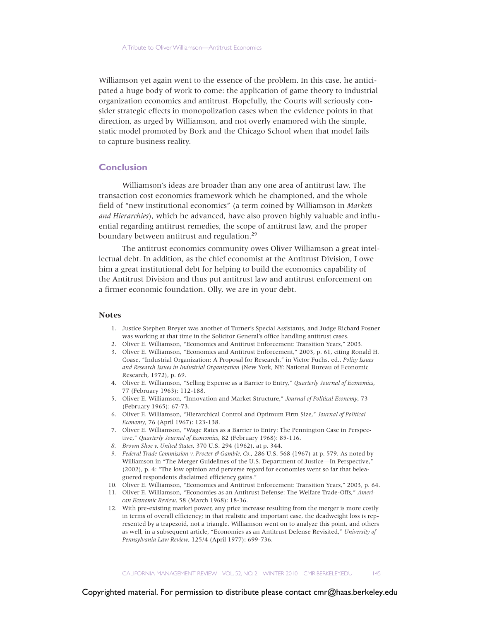Williamson yet again went to the essence of the problem. In this case, he anticipated a huge body of work to come: the application of game theory to industrial organization economics and antitrust. Hopefully, the Courts will seriously consider strategic effects in monopolization cases when the evidence points in that direction, as urged by Williamson, and not overly enamored with the simple, static model promoted by Bork and the Chicago School when that model fails to capture business reality.

# **Conclusion**

Williamson's ideas are broader than any one area of antitrust law. The transaction cost economics framework which he championed, and the whole field of "new institutional economics" (a term coined by Williamson in *Markets and Hierarchies*), which he advanced, have also proven highly valuable and influential regarding antitrust remedies, the scope of antitrust law, and the proper boundary between antitrust and regulation.<sup>29</sup>

The antitrust economics community owes Oliver Williamson a great intellectual debt. In addition, as the chief economist at the Antitrust Division, I owe him a great institutional debt for helping to build the economics capability of the Antitrust Division and thus put antitrust law and antitrust enforcement on a firmer economic foundation. Olly, we are in your debt.

#### **Notes**

- 1. Justice Stephen Breyer was another of Turner's Special Assistants, and Judge Richard Posner was working at that time in the Solicitor General's office handling antitrust cases.
- 2. Oliver E. Williamson, "Economics and Antitrust Enforcement: Transition Years," 2003.
- 3. Oliver E. Williamson, "Economics and Antitrust Enforcement," 2003, p. 61, citing Ronald H. Coase, "Industrial Organization: A Proposal for Research," in Victor Fuchs, ed., *Policy Issues and Research Issues in Industrial Organization* (New York, NY: National Bureau of Economic Research, 1972), p. 69.
- 4. Oliver E. Williamson, "Selling Expense as a Barrier to Entry," *Quarterly Journal of Economics*, 77 (February 1963): 112-188.
- 5. Oliver E. Williamson, "Innovation and Market Structure," *Journal of Political Economy*, 73 (February 1965): 67-73.
- 6. Oliver E. Williamson, "Hierarchical Control and Optimum Firm Size," *Journal of Political Economy*, 76 (April 1967): 123-138.
- 7. Oliver E. Williamson, "Wage Rates as a Barrier to Entry: The Pennington Case in Perspective," *Quarterly Journal of Economics*, 82 (February 1968): 85-116.
- *8. Brown Shoe v. United States*, 370 U.S. 294 (1962), at p. 344.
- *9. Federal Trade Commission v. Procter & Gamble, Co.*, 286 U.S. 568 (1967) at p. 579. As noted by Williamson in "The Merger Guidelines of the U.S. Department of Justice—In Perspective," (2002), p. 4: "The low opinion and perverse regard for economies went so far that beleaguered respondents disclaimed efficiency gains."
- 10. Oliver E. Williamson, "Economics and Antitrust Enforcement: Transition Years," 2003, p. 64.
- 11. Oliver E. Williamson, "Economies as an Antitrust Defense: The Welfare Trade-Offs," *American Economic Review*, 58 (March 1968): 18-36.
- 12. With pre-existing market power, any price increase resulting from the merger is more costly in terms of overall efficiency; in that realistic and important case, the deadweight loss is represented by a trapezoid, not a triangle. Williamson went on to analyze this point, and others as well, in a subsequent article, "Economies as an Antitrust Defense Revisited," *University of Pennsylvania Law Review*, 125/4 (April 1977): 699-736.

CALIFORNIA MANAGEMENT REVIEW VOL. 52, NO. 2 WINTER 2010 CMR.BERKELEY.EDU 145